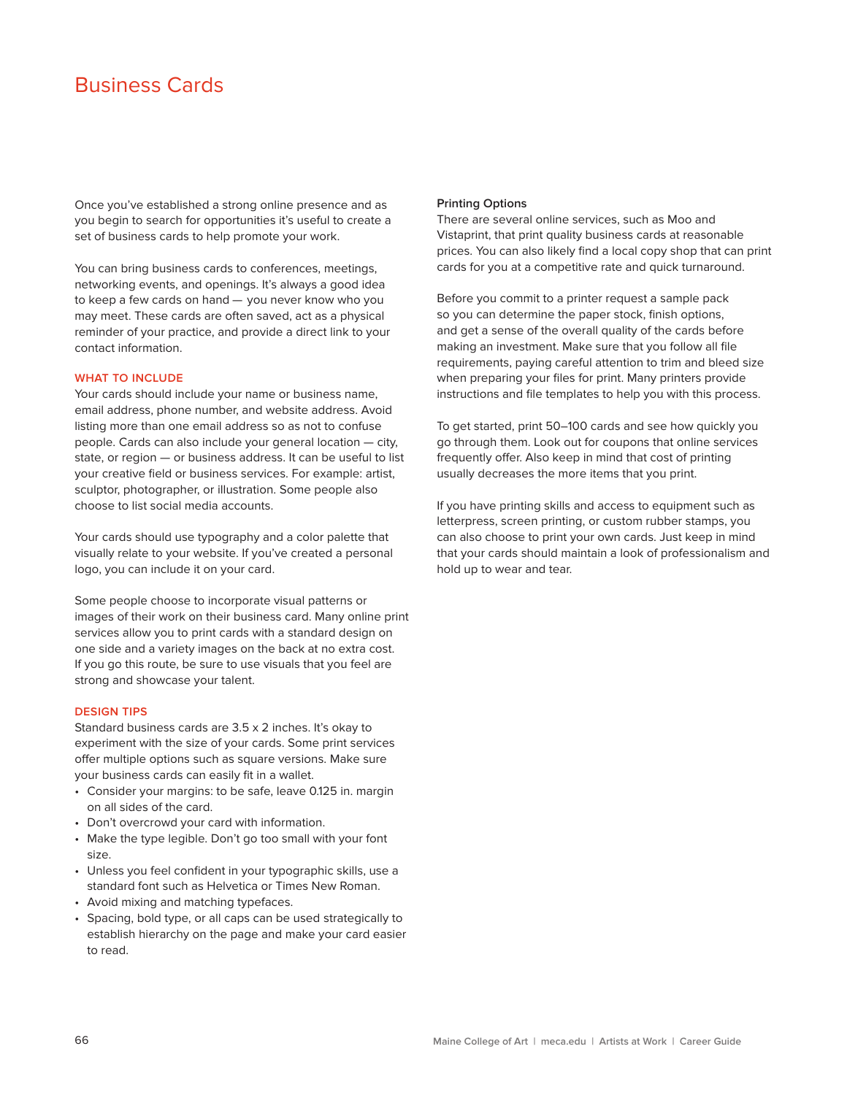# Business Cards

Once you've established a strong online presence and as you begin to search for opportunities it's useful to create a set of business cards to help promote your work.

You can bring business cards to conferences, meetings, networking events, and openings. It's always a good idea to keep a few cards on hand — you never know who you may meet. These cards are often saved, act as a physical reminder of your practice, and provide a direct link to your contact information.

### **WHAT TO INCLUDE**

Your cards should include your name or business name, email address, phone number, and website address. Avoid listing more than one email address so as not to confuse people. Cards can also include your general location — city, state, or region — or business address. It can be useful to list your creative field or business services. For example: artist, sculptor, photographer, or illustration. Some people also choose to list social media accounts.

Your cards should use typography and a color palette that visually relate to your website. If you've created a personal logo, you can include it on your card.

Some people choose to incorporate visual patterns or images of their work on their business card. Many online print services allow you to print cards with a standard design on one side and a variety images on the back at no extra cost. If you go this route, be sure to use visuals that you feel are strong and showcase your talent.

#### **DESIGN TIPS**

Standard business cards are 3.5 x 2 inches. It's okay to experiment with the size of your cards. Some print services offer multiple options such as square versions. Make sure your business cards can easily fit in a wallet.

- Consider your margins: to be safe, leave 0.125 in. margin on all sides of the card.
- Don't overcrowd your card with information.
- Make the type legible. Don't go too small with your font size.
- Unless you feel confident in your typographic skills, use a standard font such as Helvetica or Times New Roman.
- Avoid mixing and matching typefaces.
- Spacing, bold type, or all caps can be used strategically to establish hierarchy on the page and make your card easier to read.

#### **Printing Options**

There are several online services, such as Moo and Vistaprint, that print quality business cards at reasonable prices. You can also likely find a local copy shop that can print cards for you at a competitive rate and quick turnaround.

Before you commit to a printer request a sample pack so you can determine the paper stock, finish options, and get a sense of the overall quality of the cards before making an investment. Make sure that you follow all file requirements, paying careful attention to trim and bleed size when preparing your files for print. Many printers provide instructions and file templates to help you with this process.

To get started, print 50–100 cards and see how quickly you go through them. Look out for coupons that online services frequently offer. Also keep in mind that cost of printing usually decreases the more items that you print.

If you have printing skills and access to equipment such as letterpress, screen printing, or custom rubber stamps, you can also choose to print your own cards. Just keep in mind that your cards should maintain a look of professionalism and hold up to wear and tear.